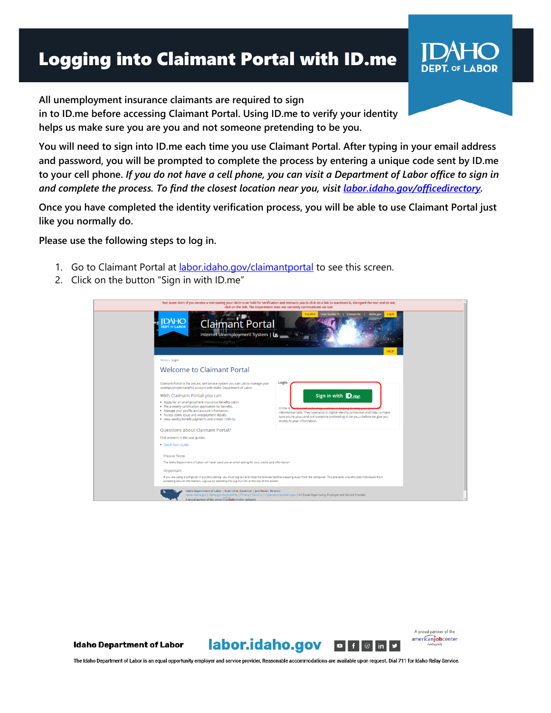## Logging into Claimant Portal with ID.me



**You will need to sign into ID.me each time you use Claimant Portal. After typing in your email address and password, you will be prompted to complete the process by entering a unique code sent by ID.me to your cell phone.** *If you do not have a cell phone, you can visit a Department of Labor office to sign in and complete the process. To find the closest location near you, visit [labor.idaho.gov/officedirectory.](https://www.labor.idaho.gov/dnn/Local-Office-Directory)*

**Once you have completed the identity verification process, you will be able to use Claimant Portal just like you normally do.**

**Please use the following steps to log in.**

- 1. Go to Claimant Portal at **[labor.idaho.gov/claimantportal](https://www2.labor.idaho.gov/ClaimantPortal/Login?ReturnUrl=%2fClaimantPortal)** to see this screen.
- 2. Click on the button "Sign in with ID.me"





A proud partner of the americanjobcenter

**DEPT. OF LABOR** 

The Idaho Department of Labor is an equal opportunity employer and service provider. Reasonable accommodations are available upon request. Dial 711 for Idaho Relay Service.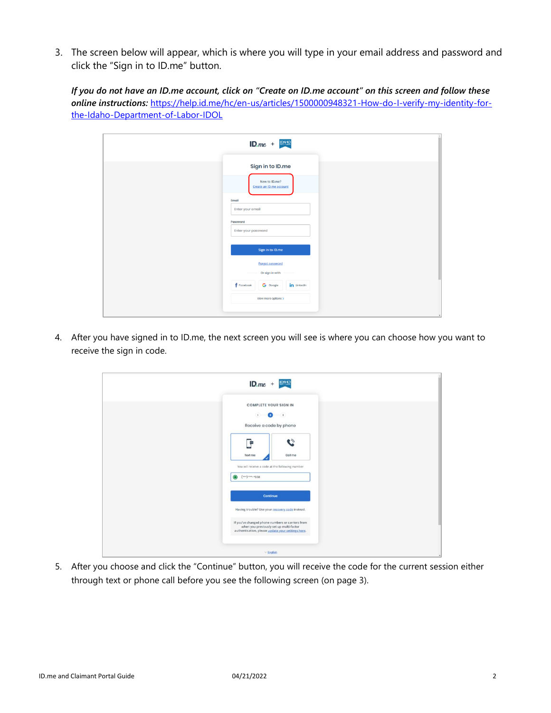3. The screen below will appear, which is where you will type in your email address and password and click the "Sign in to ID.me" button.

*If you do not have an ID.me account, click on "Create on ID.me account" on this screen and follow these online instructions:* [https://help.id.me/hc/en-us/articles/1500000948321-How-do-I-verify-my-identity-for](https://help.id.me/hc/en-us/articles/1500000948321-How-do-I-verify-my-identity-for-the-Idaho-Department-of-Labor-IDOL)[the-Idaho-Department-of-Labor-IDOL](https://help.id.me/hc/en-us/articles/1500000948321-How-do-I-verify-my-identity-for-the-Idaho-Department-of-Labor-IDOL)

| $ID.$ <i>me</i> + $ID.$                                      |
|--------------------------------------------------------------|
| Sign in to ID.me<br>New to ID.me?<br>Create an ID.me account |
| Email<br>Enter your email<br>Password                        |
| Enter your password                                          |
| Sign in to ID.me                                             |
| <b>Forgot password</b><br>Or sign in with                    |
| $f$ Facebook<br>in LinkedIn<br>G Google                      |
| View more options >                                          |

4. After you have signed in to ID.me, the next screen you will see is where you can choose how you want to receive the sign in code.

| $ID.me + P.$                                                                                                                                     |  |
|--------------------------------------------------------------------------------------------------------------------------------------------------|--|
| <b>COMPLETE YOUR SIGN IN</b><br>$\bullet$ $\bullet$<br>(1)<br>Receive a code by phone                                                            |  |
| $\tilde{\mathbf{c}}$<br>۳<br>Call me<br>Toxt mo<br>You will receive a code at the following number                                               |  |
| $(***)****658$<br>$\circ$                                                                                                                        |  |
| Continue<br>Having trouble? Use your recovery code instead.                                                                                      |  |
| If you've changed phone numbers or carriers from<br>when you previously set up multi-factor<br>authentication, please update your settings here. |  |
| $\times$ English                                                                                                                                 |  |

5. After you choose and click the "Continue" button, you will receive the code for the current session either through text or phone call before you see the following screen (on page 3).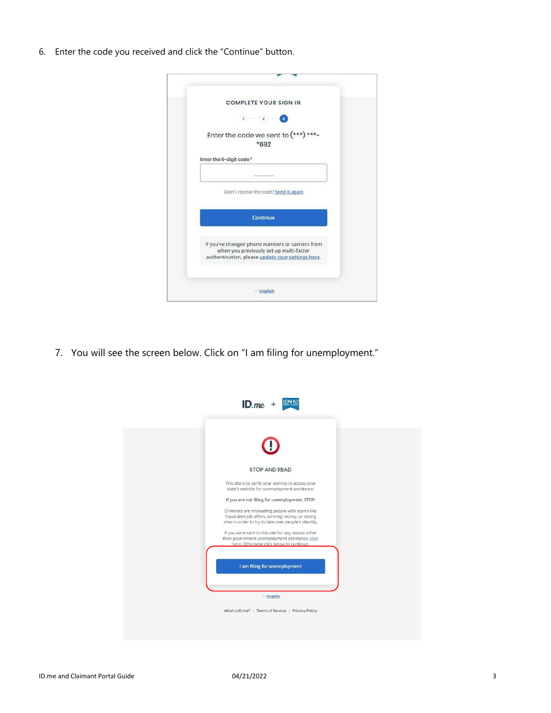6. Enter the code you received and click the "Continue" button.

| <b>COMPLETE YOUR SIGN IN</b>                                                                                                                     |
|--------------------------------------------------------------------------------------------------------------------------------------------------|
| $\left 2\right\rangle$<br>$\vert 1 \rangle$                                                                                                      |
| Enter the code we sent to (***) ***-<br>*692                                                                                                     |
| Enter the 6-digit code *                                                                                                                         |
|                                                                                                                                                  |
| Didn't receive the code? Send it again                                                                                                           |
| <b>Continue</b>                                                                                                                                  |
| If you've changed phone numbers or carriers from<br>when you previously set up multi-factor<br>authentication, please update your settings here. |
| $\times$ English                                                                                                                                 |

7. You will see the screen below. Click on "I am filing for unemployment."

| $ID$ . $me$                                                                                                                                                 |  |
|-------------------------------------------------------------------------------------------------------------------------------------------------------------|--|
|                                                                                                                                                             |  |
| <b>STOP AND READ</b>                                                                                                                                        |  |
| This site is to verify your identity to access your<br>state's website for unemployment assistance.                                                         |  |
| If you are not filing for unemployment, STOP.                                                                                                               |  |
| Criminals are misleading people with scams like<br>fraudulent job offers, winning money, or dating<br>sites in order to try to take over people's identity. |  |
| If you were sent to this site for any reason other<br>than government unemployment assistance, click<br>here. Otherwise click below to continue.            |  |
| I am filing for unemployment                                                                                                                                |  |
|                                                                                                                                                             |  |
| $\vee$ English                                                                                                                                              |  |
| What is ID.me?   Terms of Service   Privacy Policy                                                                                                          |  |
|                                                                                                                                                             |  |